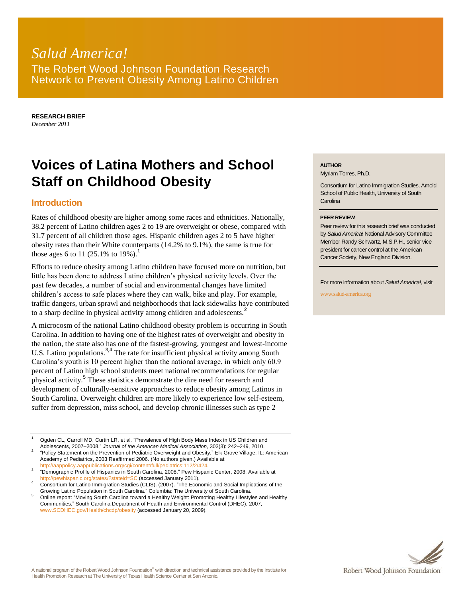# *Salud America!* The Robert Wood Johnson Foundation Research Network to Prevent Obesity Among Latino Children

**RESEARCH BRIEF** *December 2011*

# **Voices of Latina Mothers and School Staff on Childhood Obesity**

## **Introduction**

Rates of childhood obesity are higher among some races and ethnicities. Nationally, 38.2 percent of Latino children ages 2 to 19 are overweight or obese, compared with 31.7 percent of all children those ages. Hispanic children ages 2 to 5 have higher obesity rates than their White counterparts (14.2% to 9.1%), the same is true for those ages 6 to 11 (25.1% to 19%).<sup>1</sup>

Efforts to reduce obesity among Latino children have focused more on nutrition, but little has been done to address Latino children's physical activity levels. Over the past few decades, a number of social and environmental changes have limited children's access to safe places where they can walk, bike and play. For example, traffic dangers, urban sprawl and neighborhoods that lack sidewalks have contributed to a sharp decline in physical activity among children and adolescents.<sup>2</sup>

A microcosm of the national Latino childhood obesity problem is occurring in South Carolina. In addition to having one of the highest rates of overweight and obesity in the nation, the state also has one of the fastest-growing, youngest and lowest-income U.S. Latino populations.<sup>3,4</sup> The rate for insufficient physical activity among South Carolina's youth is 10 percent higher than the national average, in which only 60.9 percent of Latino high school students meet national recommendations for regular physical activity.<sup>5</sup> These statistics demonstrate the dire need for research and development of culturally-sensitive approaches to reduce obesity among Latinos in South Carolina. Overweight children are more likely to experience low self-esteem, suffer from depression, miss school, and develop chronic illnesses such as type 2

Ogden CL, Carroll MD, Curtin LR, et al. "Prevalence of High Body Mass Index in US Children and Adolescents, 2007–2008.‖ *Journal of the American Medical Association*, 303(3): 242–249, 2010.

2 ―Policy Statement on the Prevention of Pediatric Overweight and Obesity.‖ Elk Grove Village, IL: American Academy of Pediatrics, 2003 Reaffirmed 2006. (No authors given.) Available at [http://aappolicy.aappublications.org/cgi/content/full/pediatrics;112/2/424.](http://aappolicy.aappublications.org/cgi/content/full/pediatrics;112/2/424)

3 ―Demographic Profile of Hispanics in South Carolina, 2008.‖ Pew Hispanic Center, 2008, Available at <http://pewhispanic.org/states/?stateid=SC> (accessed January 2011).

Consortium for Latino Immigration Studies (CLIS). (2007). "The Economic and Social Implications of the Growing Latino Population in South Carolina.‖ Columbia: The University of South Carolina.

Online report: "Moving South Carolina toward a Healthy Weight: Promoting Healthy Lifestyles and Healthy Communities,‖ South Carolina Department of Health and Environmental Control (DHEC), 2007, [www.SCDHEC.gov/Health/chcdp/obesity](http://www.scdhec.gov/Health/chcdp/obesity) (accessed January 20, 2009).

#### **AUTHOR**

Myriam Torres, Ph.D.

Consortium for Latino Immigration Studies, Arnold School of Public Health, University of South **Carolina** 

#### **PEER REVIEW**

Peer review for this research brief was conducted by *Salud America!* National Advisory Committee Member Randy Schwartz, M.S.P.H., senior vice president for cancer control at the American Cancer Society, New England Division.

For more information about *Salud America!*, visit

www.salud-america.org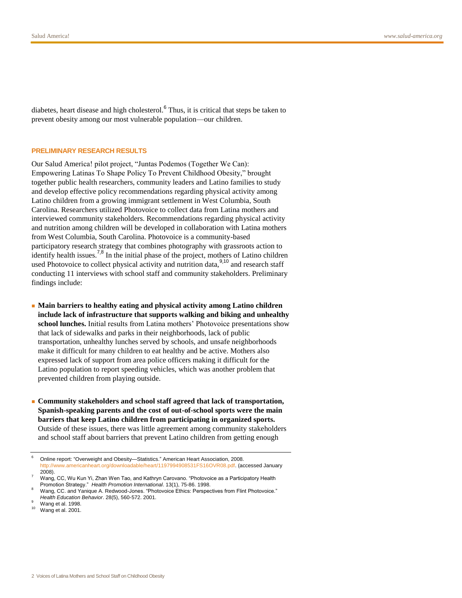diabetes, heart disease and high cholesterol.<sup>6</sup> Thus, it is critical that steps be taken to prevent obesity among our most vulnerable population—our children.

#### **PRELIMINARY RESEARCH RESULTS**

Our Salud America! pilot project, "Juntas Podemos (Together We Can): Empowering Latinas To Shape Policy To Prevent Childhood Obesity," brought together public health researchers, community leaders and Latino families to study and develop effective policy recommendations regarding physical activity among Latino children from a growing immigrant settlement in West Columbia, South Carolina. Researchers utilized Photovoice to collect data from Latina mothers and interviewed community stakeholders. Recommendations regarding physical activity and nutrition among children will be developed in collaboration with Latina mothers from West Columbia, South Carolina. Photovoice is a community-based participatory research strategy that combines photography with grassroots action to identify health issues.<sup>7,8</sup> In the initial phase of the project, mothers of Latino children used Photovoice to collect physical activity and nutrition data,  $\frac{9,10}{2}$  and research staff conducting 11 interviews with school staff and community stakeholders. Preliminary findings include:

- Main barriers to healthy eating and physical activity among Latino children **include lack of infrastructure that supports walking and biking and unhealthy school lunches.** Initial results from Latina mothers' Photovoice presentations show that lack of sidewalks and parks in their neighborhoods, lack of public transportation, unhealthy lunches served by schools, and unsafe neighborhoods make it difficult for many children to eat healthy and be active. Mothers also expressed lack of support from area police officers making it difficult for the Latino population to report speeding vehicles, which was another problem that prevented children from playing outside.
- **Community stakeholders and school staff agreed that lack of transportation, Spanish-speaking parents and the cost of out-of-school sports were the main barriers that keep Latino children from participating in organized sports.**  Outside of these issues, there was little agreement among community stakeholders and school staff about barriers that prevent Latino children from getting enough

Online report: "Overweight and Obesity—Statistics." American Heart Association, 2008. [http://www.americanheart.org/downloadable/heart/1197994908531FS16OVR08.pdf.](http://www.americanheart.org/downloadable/heart/1197994908531FS16OVR08.pdf) (accessed January 2008).

Wang, CC, Wu Kun Yi, Zhan Wen Tao, and Kathryn Carovano. "Photovoice as a Participatory Health Promotion Strategy.‖ *Health Promotion International*. 13(1), 75-86. 1998.

Wang, CC. and Yanique A. Redwood-Jones. "Photovoice Ethics: Perspectives from Flint Photovoice." *Health Education Behavior*. 28(5), 560-572. 2001.

Wang et al. 1998.

 $10$  Wang et al. 2001.